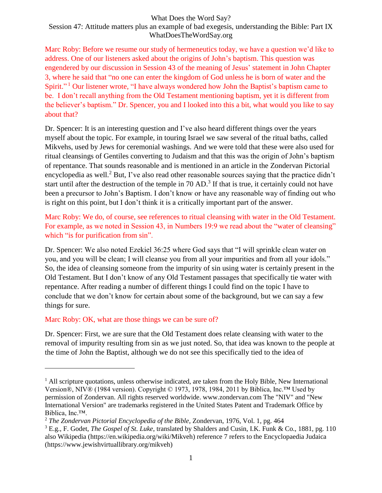#### What Does the Word Say?

Session 47: Attitude matters plus an example of bad exegesis, understanding the Bible: Part IX WhatDoesTheWordSay.org

Marc Roby: Before we resume our study of hermeneutics today, we have a question we'd like to address. One of our listeners asked about the origins of John's baptism. This question was engendered by our discussion in Session 43 of the meaning of Jesus' statement in John Chapter 3, where he said that "no one can enter the kingdom of God unless he is born of water and the Spirit."<sup>1</sup> Our listener wrote, "I have always wondered how John the Baptist's baptism came to be. I don't recall anything from the Old Testament mentioning baptism, yet it is different from the believer's baptism." Dr. Spencer, you and I looked into this a bit, what would you like to say about that?

Dr. Spencer: It is an interesting question and I've also heard different things over the years myself about the topic. For example, in touring Israel we saw several of the ritual baths, called Mikvehs, used by Jews for ceremonial washings. And we were told that these were also used for ritual cleansings of Gentiles converting to Judaism and that this was the origin of John's baptism of repentance. That sounds reasonable and is mentioned in an article in the Zondervan Pictorial encyclopedia as well.<sup>2</sup> But, I've also read other reasonable sources saying that the practice didn't start until after the destruction of the temple in  $70$  AD.<sup>3</sup> If that is true, it certainly could not have been a precursor to John's Baptism. I don't know or have any reasonable way of finding out who is right on this point, but I don't think it is a critically important part of the answer.

Marc Roby: We do, of course, see references to ritual cleansing with water in the Old Testament. For example, as we noted in Session 43, in Numbers 19:9 we read about the "water of cleansing" which "is for purification from sin".

Dr. Spencer: We also noted Ezekiel 36:25 where God says that "I will sprinkle clean water on you, and you will be clean; I will cleanse you from all your impurities and from all your idols." So, the idea of cleansing someone from the impurity of sin using water is certainly present in the Old Testament. But I don't know of any Old Testament passages that specifically tie water with repentance. After reading a number of different things I could find on the topic I have to conclude that we don't know for certain about some of the background, but we can say a few things for sure.

#### Marc Roby: OK, what are those things we can be sure of?

 $\overline{a}$ 

Dr. Spencer: First, we are sure that the Old Testament does relate cleansing with water to the removal of impurity resulting from sin as we just noted. So, that idea was known to the people at the time of John the Baptist, although we do not see this specifically tied to the idea of

 $<sup>1</sup>$  All scripture quotations, unless otherwise indicated, are taken from the Holy Bible, New International</sup> Version®, NIV® (1984 version). Copyright © 1973, 1978, 1984, 2011 by Biblica, Inc.™ Used by permission of Zondervan. All rights reserved worldwide. www.zondervan.com The "NIV" and "New International Version" are trademarks registered in the United States Patent and Trademark Office by Biblica, Inc.™.

<sup>2</sup> *The Zondervan Pictorial Encyclopedia of the Bible*, Zondervan, 1976, Vol. 1, pg. 464

<sup>3</sup> E.g., F. Godet, *The Gospel of St. Luke*, translated by Shalders and Cusin, I.K. Funk & Co., 1881, pg. 110 also Wikipedia (https://en.wikipedia.org/wiki/Mikveh) reference 7 refers to the Encyclopaedia Judaica (https://www.jewishvirtuallibrary.org/mikveh)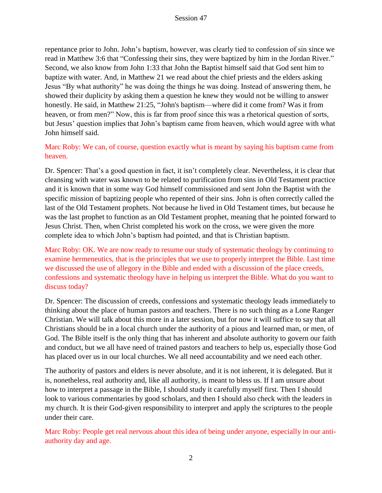repentance prior to John. John's baptism, however, was clearly tied to confession of sin since we read in Matthew 3:6 that "Confessing their sins, they were baptized by him in the Jordan River." Second, we also know from John 1:33 that John the Baptist himself said that God sent him to baptize with water. And, in Matthew 21 we read about the chief priests and the elders asking Jesus "By what authority" he was doing the things he was doing. Instead of answering them, he showed their duplicity by asking them a question he knew they would not be willing to answer honestly. He said, in Matthew 21:25, "John's baptism—where did it come from? Was it from heaven, or from men?" Now, this is far from proof since this was a rhetorical question of sorts, but Jesus' question implies that John's baptism came from heaven, which would agree with what John himself said.

Marc Roby: We can, of course, question exactly what is meant by saying his baptism came from heaven.

Dr. Spencer: That's a good question in fact, it isn't completely clear. Nevertheless, it is clear that cleansing with water was known to be related to purification from sins in Old Testament practice and it is known that in some way God himself commissioned and sent John the Baptist with the specific mission of baptizing people who repented of their sins. John is often correctly called the last of the Old Testament prophets. Not because he lived in Old Testament times, but because he was the last prophet to function as an Old Testament prophet, meaning that he pointed forward to Jesus Christ. Then, when Christ completed his work on the cross, we were given the more complete idea to which John's baptism had pointed, and that is Christian baptism.

Marc Roby: OK. We are now ready to resume our study of systematic theology by continuing to examine hermeneutics, that is the principles that we use to properly interpret the Bible. Last time we discussed the use of allegory in the Bible and ended with a discussion of the place creeds, confessions and systematic theology have in helping us interpret the Bible. What do you want to discuss today?

Dr. Spencer: The discussion of creeds, confessions and systematic theology leads immediately to thinking about the place of human pastors and teachers. There is no such thing as a Lone Ranger Christian. We will talk about this more in a later session, but for now it will suffice to say that all Christians should be in a local church under the authority of a pious and learned man, or men, of God. The Bible itself is the only thing that has inherent and absolute authority to govern our faith and conduct, but we all have need of trained pastors and teachers to help us, especially those God has placed over us in our local churches. We all need accountability and we need each other.

The authority of pastors and elders is never absolute, and it is not inherent, it is delegated. But it is, nonetheless, real authority and, like all authority, is meant to bless us. If I am unsure about how to interpret a passage in the Bible, I should study it carefully myself first. Then I should look to various commentaries by good scholars, and then I should also check with the leaders in my church. It is their God-given responsibility to interpret and apply the scriptures to the people under their care.

Marc Roby: People get real nervous about this idea of being under anyone, especially in our antiauthority day and age.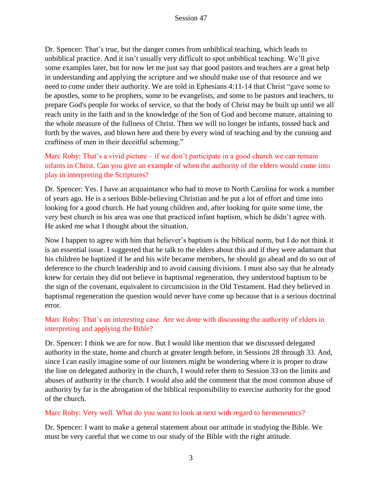Dr. Spencer: That's true, but the danger comes from unbiblical teaching, which leads to unbiblical practice. And it isn't usually very difficult to spot unbiblical teaching. We'll give some examples later, but for now let me just say that good pastors and teachers are a great help in understanding and applying the scripture and we should make use of that resource and we need to come under their authority. We are told in Ephesians 4:11-14 that Christ "gave some to be apostles, some to be prophets, some to be evangelists, and some to be pastors and teachers, to prepare God's people for works of service, so that the body of Christ may be built up until we all reach unity in the faith and in the knowledge of the Son of God and become mature, attaining to the whole measure of the fullness of Christ. Then we will no longer be infants, tossed back and forth by the waves, and blown here and there by every wind of teaching and by the cunning and craftiness of men in their deceitful scheming."

# Marc Roby: That's a vivid picture – if we don't participate in a good church we can remain infants in Christ. Can you give an example of when the authority of the elders would come into play in interpreting the Scriptures?

Dr. Spencer: Yes. I have an acquaintance who had to move to North Carolina for work a number of years ago. He is a serious Bible-believing Christian and he put a lot of effort and time into looking for a good church. He had young children and, after looking for quite some time, the very best church in his area was one that practiced infant baptism, which he didn't agree with. He asked me what I thought about the situation.

Now I happen to agree with him that believer's baptism is the biblical norm, but I do not think it is an essential issue. I suggested that he talk to the elders about this and if they were adamant that his children be baptized if he and his wife became members, he should go ahead and do so out of deference to the church leadership and to avoid causing divisions. I must also say that he already knew for certain they did not believe in baptismal regeneration, they understood baptism to be the sign of the covenant, equivalent to circumcision in the Old Testament. Had they believed in baptismal regeneration the question would never have come up because that is a serious doctrinal error.

# Marc Roby: That's an interesting case. Are we done with discussing the authority of elders in interpreting and applying the Bible?

Dr. Spencer: I think we are for now. But I would like mention that we discussed delegated authority in the state, home and church at greater length before, in Sessions 28 through 33. And, since I can easily imagine some of our listeners might be wondering where it is proper to draw the line on delegated authority in the church, I would refer them to Session 33 on the limits and abuses of authority in the church. I would also add the comment that the most common abuse of authority by far is the abrogation of the biblical responsibility to exercise authority for the good of the church.

# Marc Roby: Very well. What do you want to look at next with regard to hermeneutics?

Dr. Spencer: I want to make a general statement about our attitude in studying the Bible. We must be very careful that we come to our study of the Bible with the right attitude.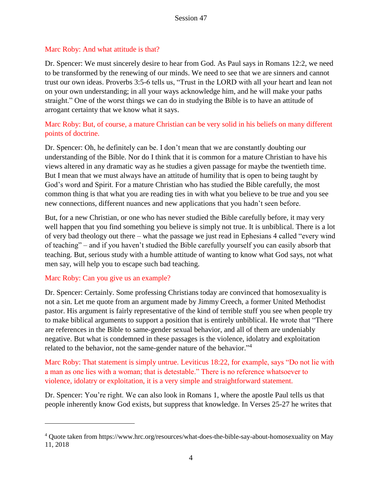#### Marc Roby: And what attitude is that?

Dr. Spencer: We must sincerely desire to hear from God. As Paul says in Romans 12:2, we need to be transformed by the renewing of our minds. We need to see that we are sinners and cannot trust our own ideas. Proverbs 3:5-6 tells us, "Trust in the LORD with all your heart and lean not on your own understanding; in all your ways acknowledge him, and he will make your paths straight." One of the worst things we can do in studying the Bible is to have an attitude of arrogant certainty that we know what it says.

# Marc Roby: But, of course, a mature Christian can be very solid in his beliefs on many different points of doctrine.

Dr. Spencer: Oh, he definitely can be. I don't mean that we are constantly doubting our understanding of the Bible. Nor do I think that it is common for a mature Christian to have his views altered in any dramatic way as he studies a given passage for maybe the twentieth time. But I mean that we must always have an attitude of humility that is open to being taught by God's word and Spirit. For a mature Christian who has studied the Bible carefully, the most common thing is that what you are reading ties in with what you believe to be true and you see new connections, different nuances and new applications that you hadn't seen before.

But, for a new Christian, or one who has never studied the Bible carefully before, it may very well happen that you find something you believe is simply not true. It is unbiblical. There is a lot of very bad theology out there – what the passage we just read in Ephesians 4 called "every wind of teaching" – and if you haven't studied the Bible carefully yourself you can easily absorb that teaching. But, serious study with a humble attitude of wanting to know what God says, not what men say, will help you to escape such bad teaching.

#### Marc Roby: Can you give us an example?

 $\overline{a}$ 

Dr. Spencer: Certainly. Some professing Christians today are convinced that homosexuality is not a sin. Let me quote from an argument made by Jimmy Creech, a former United Methodist pastor. His argument is fairly representative of the kind of terrible stuff you see when people try to make biblical arguments to support a position that is entirely unbiblical. He wrote that "There are references in the Bible to same-gender sexual behavior, and all of them are undeniably negative. But what is condemned in these passages is the violence, idolatry and exploitation related to the behavior, not the same-gender nature of the behavior."<sup>4</sup>

Marc Roby: That statement is simply untrue. Leviticus 18:22, for example, says "Do not lie with a man as one lies with a woman; that is detestable." There is no reference whatsoever to violence, idolatry or exploitation, it is a very simple and straightforward statement.

Dr. Spencer: You're right. We can also look in Romans 1, where the apostle Paul tells us that people inherently know God exists, but suppress that knowledge. In Verses 25-27 he writes that

<sup>4</sup> Quote taken from https://www.hrc.org/resources/what-does-the-bible-say-about-homosexuality on May 11, 2018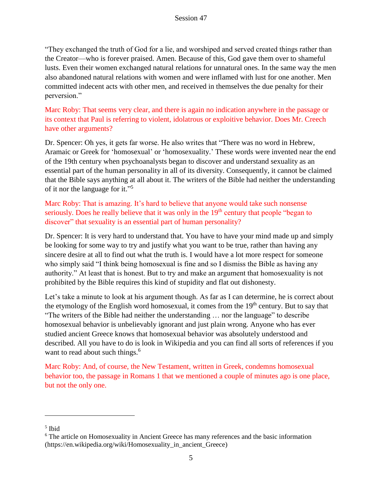"They exchanged the truth of God for a lie, and worshiped and served created things rather than the Creator—who is forever praised. Amen. Because of this, God gave them over to shameful lusts. Even their women exchanged natural relations for unnatural ones. In the same way the men also abandoned natural relations with women and were inflamed with lust for one another. Men committed indecent acts with other men, and received in themselves the due penalty for their perversion."

Marc Roby: That seems very clear, and there is again no indication anywhere in the passage or its context that Paul is referring to violent, idolatrous or exploitive behavior. Does Mr. Creech have other arguments?

Dr. Spencer: Oh yes, it gets far worse. He also writes that "There was no word in Hebrew, Aramaic or Greek for 'homosexual' or 'homosexuality.' These words were invented near the end of the 19th century when psychoanalysts began to discover and understand sexuality as an essential part of the human personality in all of its diversity. Consequently, it cannot be claimed that the Bible says anything at all about it. The writers of the Bible had neither the understanding of it nor the language for it."<sup>5</sup>

Marc Roby: That is amazing. It's hard to believe that anyone would take such nonsense seriously. Does he really believe that it was only in the 19<sup>th</sup> century that people "began to discover" that sexuality is an essential part of human personality?

Dr. Spencer: It is very hard to understand that. You have to have your mind made up and simply be looking for some way to try and justify what you want to be true, rather than having any sincere desire at all to find out what the truth is. I would have a lot more respect for someone who simply said "I think being homosexual is fine and so I dismiss the Bible as having any authority." At least that is honest. But to try and make an argument that homosexuality is not prohibited by the Bible requires this kind of stupidity and flat out dishonesty.

Let's take a minute to look at his argument though. As far as I can determine, he is correct about the etymology of the English word homosexual, it comes from the 19<sup>th</sup> century. But to say that "The writers of the Bible had neither the understanding … nor the language" to describe homosexual behavior is unbelievably ignorant and just plain wrong. Anyone who has ever studied ancient Greece knows that homosexual behavior was absolutely understood and described. All you have to do is look in Wikipedia and you can find all sorts of references if you want to read about such things.<sup>6</sup>

Marc Roby: And, of course, the New Testament, written in Greek, condemns homosexual behavior too, the passage in Romans 1 that we mentioned a couple of minutes ago is one place, but not the only one.

 $\overline{a}$ 

<sup>5</sup> Ibid

<sup>&</sup>lt;sup>6</sup> The article on Homosexuality in Ancient Greece has many references and the basic information (https://en.wikipedia.org/wiki/Homosexuality\_in\_ancient\_Greece)